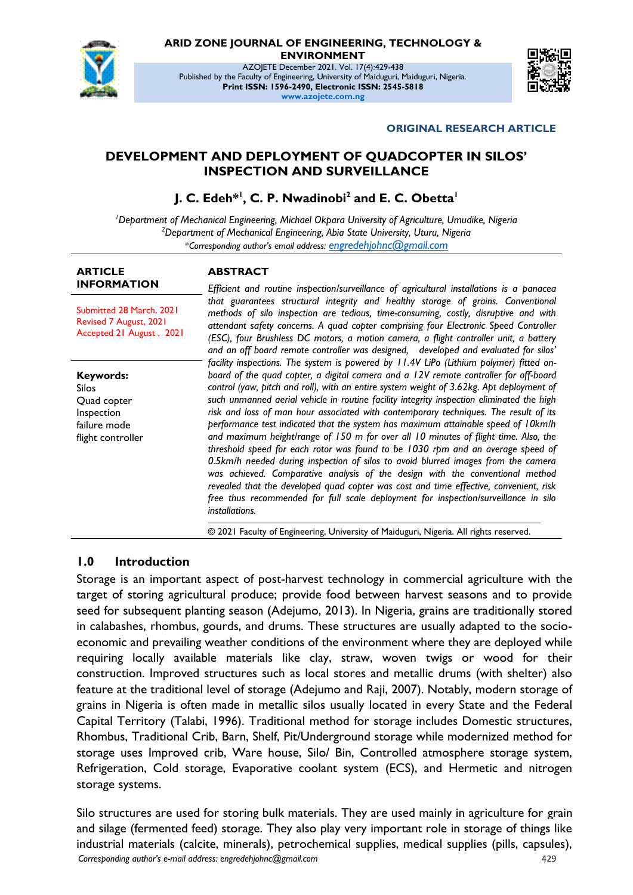

**ARID ZONE JOURNAL OF ENGINEERING, TECHNOLOGY & ENVIRONMENT**

AZOJETE December 2021. Vol. 17(4):429-438 Published by the Faculty of Engineering, University of Maiduguri, Maiduguri, Nigeria. **Print ISSN: 1596-2490, Electronic ISSN: 2545-5818 www.azojete.com.ng**



#### **ORIGINAL RESEARCH ARTICLE**

### **DEVELOPMENT AND DEPLOYMENT OF QUADCOPTER IN SILOS' INSPECTION AND SURVEILLANCE**

**J. C. Edeh\*<sup>1</sup> , C. P. Nwadinobi<sup>2</sup> and E. C. Obetta<sup>1</sup>**

*<sup>1</sup>Department of Mechanical Engineering, Michael Okpara University of Agriculture, Umudike, Nigeria <sup>2</sup>Department of Mechanical Engineering, Abia State University, Uturu, Nigeria \*Corresponding author's email address: engredehjohnc@gmail.com*

| <b>ARTICLE</b>     |
|--------------------|
| <b>INFORMATION</b> |

#### **ABSTRACT**

Submitted 28 March, 2021 Revised 7 August, 2021 Accepted 21 August , 2021

**Keywords:** Silos Quad copter Inspection failure mode flight controller

*Efficient and routine inspection/surveillance of agricultural installations is a panacea that guarantees structural integrity and healthy storage of grains. Conventional methods of silo inspection are tedious, time-consuming, costly, disruptive and with attendant safety concerns. A quad copter comprising four Electronic Speed Controller (ESC), four Brushless DC motors, a motion camera, a flight controller unit, a battery and an off board remote controller was designed, developed and evaluated for silos' facility inspections. The system is powered by 11.4V LiPo (Lithium polymer) fitted onboard of the quad copter, a digital camera and a 12V remote controller for off-board control (yaw, pitch and roll), with an entire system weight of 3.62kg. Apt deployment of such unmanned aerial vehicle in routine facility integrity inspection eliminated the high risk and loss of man hour associated with contemporary techniques. The result of its performance test indicated that the system has maximum attainable speed of 10km/h and maximum height/range of 150 m for over all 10 minutes of flight time. Also, the threshold speed for each rotor was found to be 1030 rpm and an average speed of 0.5km/h needed during inspection of silos to avoid blurred images from the camera was achieved. Comparative analysis of the design with the conventional method revealed that the developed quad copter was cost and time effective, convenient, risk free thus recommended for full scale deployment for inspection/surveillance in silo installations.*

© 2021 Faculty of Engineering, University of Maiduguri, Nigeria. All rights reserved.

### **1.0 Introduction**

Storage is an important aspect of post-harvest technology in commercial agriculture with the target of storing agricultural produce; provide food between harvest seasons and to provide seed for subsequent planting season (Adejumo, 2013). In Nigeria, grains are traditionally stored in calabashes, rhombus, gourds, and drums. These structures are usually adapted to the socioeconomic and prevailing weather conditions of the environment where they are deployed while requiring locally available materials like clay, straw, woven twigs or wood for their construction. Improved structures such as local stores and metallic drums (with shelter) also feature at the traditional level of storage (Adejumo and Raji, 2007). Notably, modern storage of grains in Nigeria is often made in metallic silos usually located in every State and the Federal Capital Territory (Talabi, 1996). Traditional method for storage includes Domestic structures, Rhombus, Traditional Crib, Barn, Shelf, Pit/Underground storage while modernized method for storage uses Improved crib, Ware house, Silo/ Bin, Controlled atmosphere storage system, Refrigeration, Cold storage, Evaporative coolant system (ECS), and Hermetic and nitrogen storage systems.

*Corresponding author's e-mail address: engredehjohnc@gmail.com* 429 Silo structures are used for storing bulk materials. They are used mainly in agriculture for grain and silage (fermented feed) storage. They also play very important role in storage of things like industrial materials (calcite, minerals), petrochemical supplies, medical supplies (pills, capsules),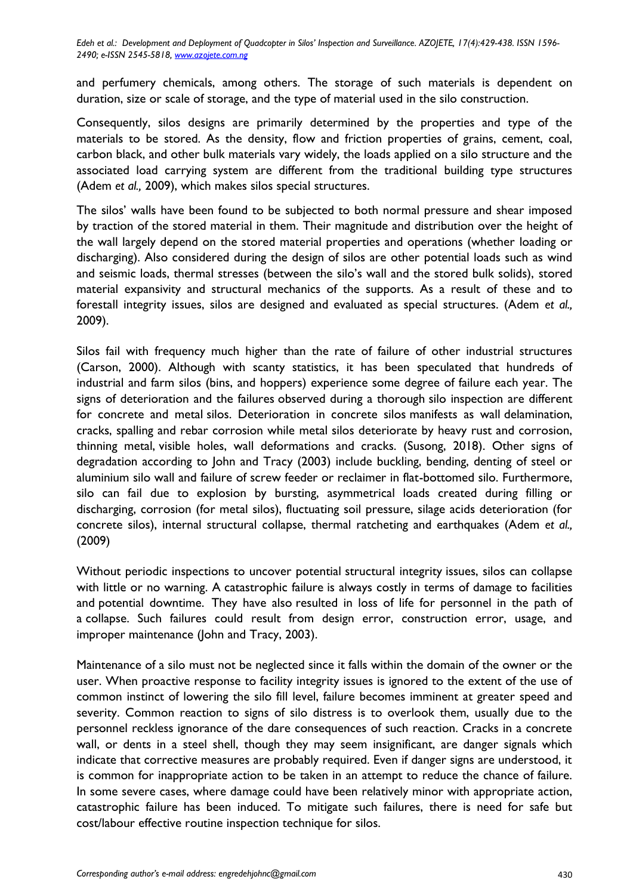and perfumery chemicals, among others. The storage of such materials is dependent on duration, size or scale of storage, and the type of material used in the silo construction.

Consequently, silos designs are primarily determined by the properties and type of the materials to be stored. As the density, flow and friction properties of grains, cement, coal, carbon black, and other bulk materials vary widely, the loads applied on a silo structure and the associated load carrying system are different from the traditional building type structures (Adem *et al.,* 2009), which makes silos special structures.

The silos' walls have been found to be subjected to both normal pressure and shear imposed by traction of the stored material in them. Their magnitude and distribution over the height of the wall largely depend on the stored material properties and operations (whether loading or discharging). Also considered during the design of silos are other potential loads such as wind and seismic loads, thermal stresses (between the silo's wall and the stored bulk solids), stored material expansivity and structural mechanics of the supports. As a result of these and to forestall integrity issues, silos are designed and evaluated as special structures. (Adem *et al.,* 2009).

Silos fail with frequency much higher than the rate of failure of other industrial structures (Carson, 2000). Although with scanty statistics, it has been speculated that hundreds of industrial and farm silos (bins, and hoppers) experience some degree of failure each year. The signs of deterioration and the failures observed during a thorough silo inspection are different for concrete and metal silos. Deterioration in concrete silos manifests as wall delamination, cracks, spalling and rebar corrosion while metal silos deteriorate by heavy rust and corrosion, thinning metal, visible holes, wall deformations and cracks. (Susong, 2018). Other signs of degradation according to John and Tracy (2003) include buckling, bending, denting of steel or aluminium silo wall and failure of screw feeder or reclaimer in flat-bottomed silo. Furthermore, silo can fail due to explosion by bursting, asymmetrical loads created during filling or discharging, corrosion (for metal silos), fluctuating soil pressure, silage acids deterioration (for concrete silos), internal structural collapse, thermal ratcheting and earthquakes (Adem *et al.,* (2009)

Without periodic inspections to uncover potential structural integrity issues, silos can collapse with little or no warning. A catastrophic failure is always costly in terms of damage to facilities and potential downtime. They have also resulted in loss of life for personnel in the path of a collapse. Such failures could result from design error, construction error, usage, and improper maintenance (John and Tracy, 2003).

Maintenance of a silo must not be neglected since it falls within the domain of the owner or the user. When proactive response to facility integrity issues is ignored to the extent of the use of common instinct of lowering the silo fill level, failure becomes imminent at greater speed and severity. Common reaction to signs of silo distress is to overlook them, usually due to the personnel reckless ignorance of the dare consequences of such reaction. Cracks in a concrete wall, or dents in a steel shell, though they may seem insignificant, are danger signals which indicate that corrective measures are probably required. Even if danger signs are understood, it is common for inappropriate action to be taken in an attempt to reduce the chance of failure. In some severe cases, where damage could have been relatively minor with appropriate action, catastrophic failure has been induced. To mitigate such failures, there is need for safe but cost/labour effective routine inspection technique for silos.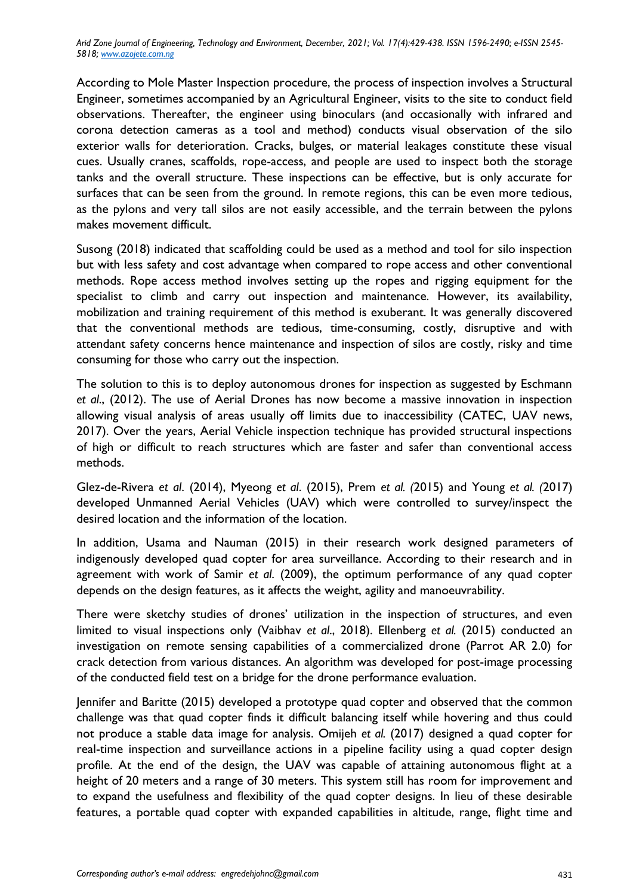According to Mole Master Inspection procedure, the process of inspection involves a Structural Engineer, sometimes accompanied by an Agricultural Engineer, visits to the site to conduct field observations. Thereafter, the engineer using binoculars (and occasionally with infrared and corona detection cameras as a tool and method) conducts visual observation of the silo exterior walls for deterioration. Cracks, bulges, or material leakages constitute these visual cues. Usually cranes, scaffolds, rope-access, and people are used to inspect both the storage tanks and the overall structure. These inspections can be effective, but is only accurate for surfaces that can be seen from the ground. In remote regions, this can be even more tedious, as the pylons and very tall silos are not easily accessible, and the terrain between the pylons makes movement difficult.

Susong (2018) indicated that scaffolding could be used as a method and tool for silo inspection but with less safety and cost advantage when compared to rope access and other conventional methods. Rope access method involves setting up the ropes and rigging equipment for the specialist to climb and carry out inspection and maintenance. However, its availability, mobilization and training requirement of this method is exuberant. It was generally discovered that the conventional methods are tedious, time-consuming, costly, disruptive and with attendant safety concerns hence maintenance and inspection of silos are costly, risky and time consuming for those who carry out the inspection.

The solution to this is to deploy autonomous drones for inspection as suggested by Eschmann *et al*., (2012). The use of Aerial Drones has now become a massive innovation in inspection allowing visual analysis of areas usually off limits due to inaccessibility (CATEC, UAV news, 2017). Over the years, Aerial Vehicle inspection technique has provided structural inspections of high or difficult to reach structures which are faster and safer than conventional access methods.

Glez-de-Rivera *et al*. (2014), Myeong *et al*. (2015), Prem *et al. (*2015) and Young *et al. (*2017) developed Unmanned Aerial Vehicles (UAV) which were controlled to survey/inspect the desired location and the information of the location.

In addition, Usama and Nauman (2015) in their research work designed parameters of indigenously developed quad copter for area surveillance. According to their research and in agreement with work of Samir *et al*. (2009), the optimum performance of any quad copter depends on the design features, as it affects the weight, agility and manoeuvrability.

There were sketchy studies of drones' utilization in the inspection of structures, and even limited to visual inspections only (Vaibhav *et al*., 2018). Ellenberg *et al.* (2015) conducted an investigation on remote sensing capabilities of a commercialized drone (Parrot AR 2.0) for crack detection from various distances. An algorithm was developed for post-image processing of the conducted field test on a bridge for the drone performance evaluation.

Jennifer and Baritte (2015) developed a prototype quad copter and observed that the common challenge was that quad copter finds it difficult balancing itself while hovering and thus could not produce a stable data image for analysis. Omijeh *et al.* (2017) designed a quad copter for real-time inspection and surveillance actions in a pipeline facility using a quad copter design profile. At the end of the design, the UAV was capable of attaining autonomous flight at a height of 20 meters and a range of 30 meters. This system still has room for improvement and to expand the usefulness and flexibility of the quad copter designs. In lieu of these desirable features, a portable quad copter with expanded capabilities in altitude, range, flight time and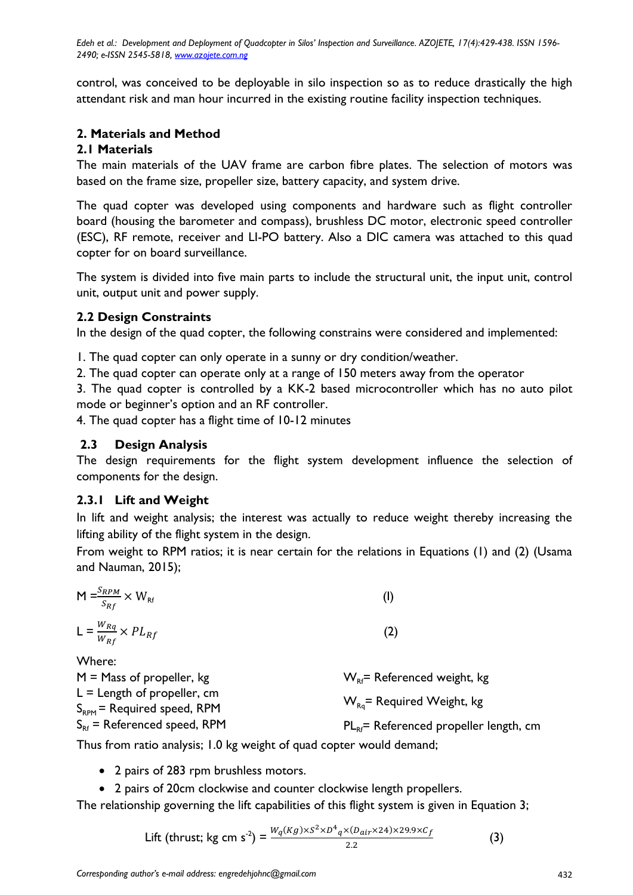control, was conceived to be deployable in silo inspection so as to reduce drastically the high attendant risk and man hour incurred in the existing routine facility inspection techniques.

## **2. Materials and Method**

# **2.1 Materials**

The main materials of the UAV frame are carbon fibre plates. The selection of motors was based on the frame size, propeller size, battery capacity, and system drive.

The quad copter was developed using components and hardware such as flight controller board (housing the barometer and compass), brushless DC motor, electronic speed controller (ESC), RF remote, receiver and LI-PO battery. Also a DIC camera was attached to this quad copter for on board surveillance.

The system is divided into five main parts to include the structural unit, the input unit, control unit, output unit and power supply.

## **2.2 Design Constraints**

In the design of the quad copter, the following constrains were considered and implemented:

1. The quad copter can only operate in a sunny or dry condition/weather.

2. The quad copter can operate only at a range of 150 meters away from the operator

3. The quad copter is controlled by a KK-2 based microcontroller which has no auto pilot mode or beginner's option and an RF controller.

4. The quad copter has a flight time of 10-12 minutes

## **2.3 Design Analysis**

The design requirements for the flight system development influence the selection of components for the design.

## **2.3.1 Lift and Weight**

In lift and weight analysis; the interest was actually to reduce weight thereby increasing the lifting ability of the flight system in the design.

From weight to RPM ratios; it is near certain for the relations in Equations (1) and (2) (Usama and Nauman, 2015);

$$
M = \frac{S_{RPM}}{S_{Rf}} \times W_{Rf}
$$
\n
$$
L = \frac{W_{Rq}}{W_{Rf}} \times PL_{Rf}
$$
\n(1)\n(2)

Where:

| $M =$ Mass of propeller, kg              | $W_{\text{ref}}$ Referenced weight, kg           |
|------------------------------------------|--------------------------------------------------|
| $L =$ Length of propeller, cm            | $W_{Rg}$ Required Weight, kg                     |
| $S_{RPM}$ = Required speed, RPM          |                                                  |
| $S_{\text{ref}}$ = Referenced speed, RPM | $PL_{\text{RF}}$ Referenced propeller length, cm |

Thus from ratio analysis; 1.0 kg weight of quad copter would demand;

2 pairs of 283 rpm brushless motors.

2 pairs of 20cm clockwise and counter clockwise length propellers.

The relationship governing the lift capabilities of this flight system is given in Equation 3;

$$
\text{Lift (thrust; kg cm s-2)} = \frac{W_q(Kg) \times S^2 \times D^4 q \times (D_{air} \times 24) \times 29.9 \times C_f}{2.2} \tag{3}
$$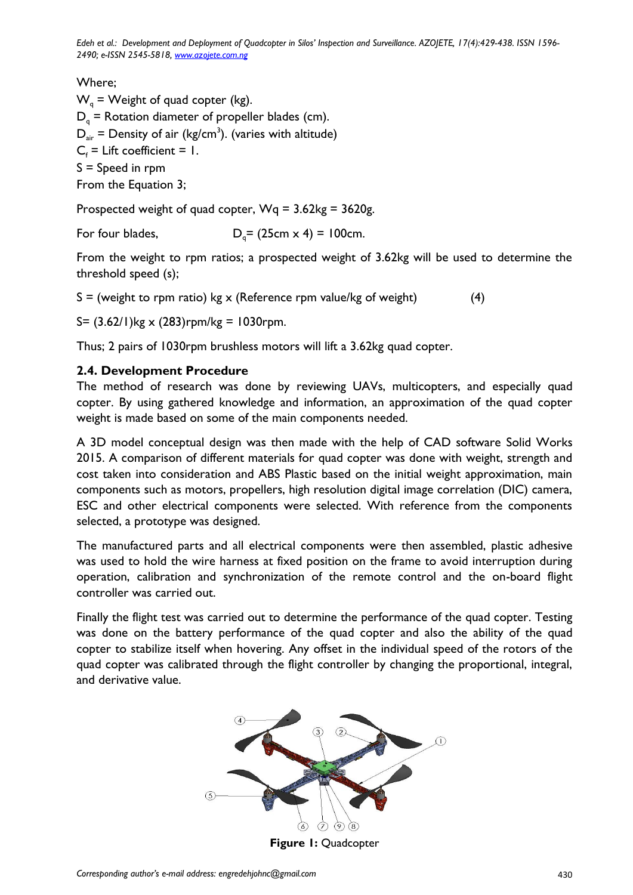Where;

 $W_a$  = Weight of quad copter (kg).  $D<sub>a</sub>$  = Rotation diameter of propeller blades (cm).  $D_{air}$  = Density of air (kg/cm<sup>3</sup>). (varies with altitude)  $C_f$  = Lift coefficient = 1.  $S =$  Speed in rpm From the Equation 3;

Prospected weight of quad copter,  $Wq = 3.62kg = 3620g$ .

For four blades,  $D_a = (25 \text{cm} \times 4) = 100 \text{cm}$ .

From the weight to rpm ratios; a prospected weight of 3.62kg will be used to determine the threshold speed (s);

S = (weight to rpm ratio) kg x (Reference rpm value/kg of weight)  $(4)$ 

S=  $(3.62/1)$ kg x  $(283)$ rpm/kg = 1030rpm.

Thus; 2 pairs of 1030rpm brushless motors will lift a 3.62kg quad copter.

#### **2.4. Development Procedure**

The method of research was done by reviewing UAVs, multicopters, and especially quad copter. By using gathered knowledge and information, an approximation of the quad copter weight is made based on some of the main components needed.

A 3D model conceptual design was then made with the help of CAD software Solid Works 2015. A comparison of different materials for quad copter was done with weight, strength and cost taken into consideration and ABS Plastic based on the initial weight approximation, main components such as motors, propellers, high resolution digital image correlation (DIC) camera, ESC and other electrical components were selected. With reference from the components selected, a prototype was designed.

The manufactured parts and all electrical components were then assembled, plastic adhesive was used to hold the wire harness at fixed position on the frame to avoid interruption during operation, calibration and synchronization of the remote control and the on-board flight controller was carried out.

Finally the flight test was carried out to determine the performance of the quad copter. Testing was done on the battery performance of the quad copter and also the ability of the quad copter to stabilize itself when hovering. Any offset in the individual speed of the rotors of the quad copter was calibrated through the flight controller by changing the proportional, integral, and derivative value.



**Figure 1: Quadcopter**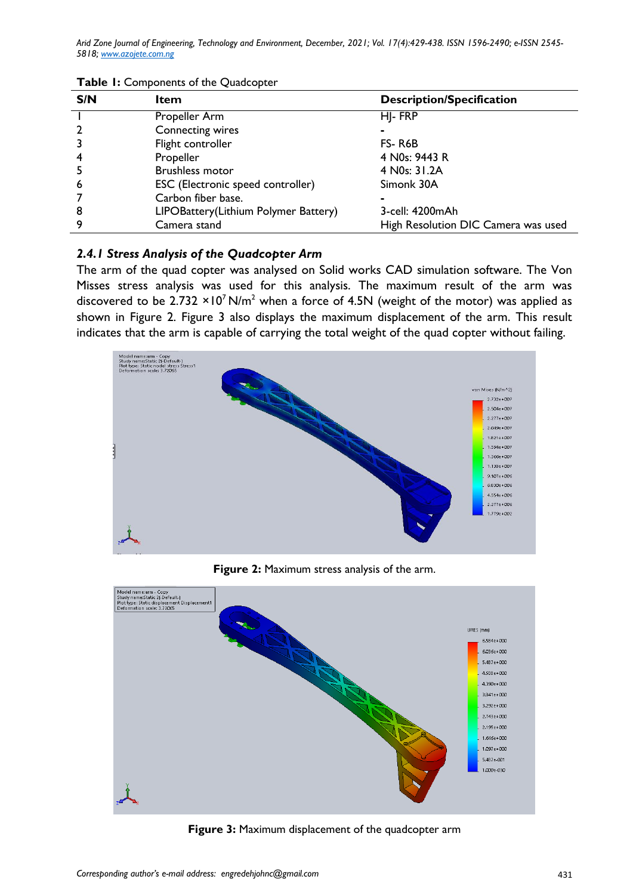| S/N | <b>Item</b>                          | <b>Description/Specification</b>    |
|-----|--------------------------------------|-------------------------------------|
|     | Propeller Arm                        | HJ-FRP                              |
|     | Connecting wires                     |                                     |
|     | Flight controller                    | FS-R6B                              |
|     | Propeller                            | 4 N <sub>0s</sub> : 9443 R          |
|     | <b>Brushless motor</b>               | 4 N <sub>0</sub> s: 31.2A           |
| 6   | ESC (Electronic speed controller)    | Simonk 30A                          |
|     | Carbon fiber base.                   |                                     |
| 8   | LIPOBattery(Lithium Polymer Battery) | 3-cell: 4200mAh                     |
|     | Camera stand                         | High Resolution DIC Camera was used |

|  |  |  |  |  | Table 1: Components of the Quadcopter |  |
|--|--|--|--|--|---------------------------------------|--|
|--|--|--|--|--|---------------------------------------|--|

### *2.4.1 Stress Analysis of the Quadcopter Arm*

The arm of the quad copter was analysed on Solid works CAD simulation software. The Von Misses stress analysis was used for this analysis. The maximum result of the arm was discovered to be 2.732  $\times$ 10<sup>7</sup> N/m<sup>2</sup> when a force of 4.5N (weight of the motor) was applied as shown in Figure 2. Figure 3 also displays the maximum displacement of the arm. This result indicates that the arm is capable of carrying the total weight of the quad copter without failing.



**Figure 2:** Maximum stress analysis of the arm.



**Figure 3:** Maximum displacement of the quadcopter arm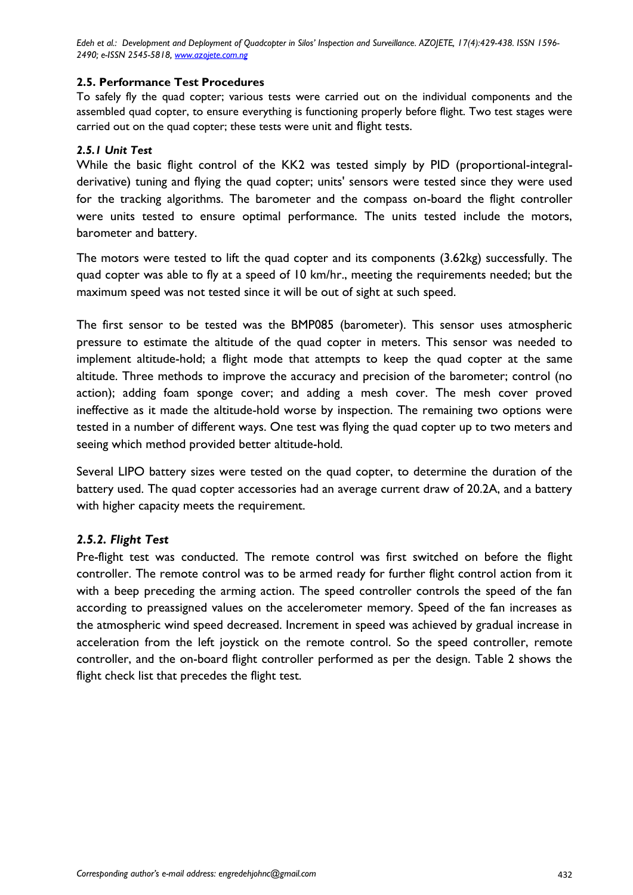#### **2.5. Performance Test Procedures**

To safely fly the quad copter; various tests were carried out on the individual components and the assembled quad copter, to ensure everything is functioning properly before flight. Two test stages were carried out on the quad copter; these tests were unit and flight tests.

#### *2.5.1 Unit Test*

While the basic flight control of the KK2 was tested simply by PID (proportional-integralderivative) tuning and flying the quad copter; units' sensors were tested since they were used for the tracking algorithms. The barometer and the compass on-board the flight controller were units tested to ensure optimal performance. The units tested include the motors, barometer and battery.

The motors were tested to lift the quad copter and its components (3.62kg) successfully. The quad copter was able to fly at a speed of 10 km/hr., meeting the requirements needed; but the maximum speed was not tested since it will be out of sight at such speed.

The first sensor to be tested was the BMP085 (barometer). This sensor uses atmospheric pressure to estimate the altitude of the quad copter in meters. This sensor was needed to implement altitude-hold; a flight mode that attempts to keep the quad copter at the same altitude. Three methods to improve the accuracy and precision of the barometer; control (no action); adding foam sponge cover; and adding a mesh cover. The mesh cover proved ineffective as it made the altitude-hold worse by inspection. The remaining two options were tested in a number of different ways. One test was flying the quad copter up to two meters and seeing which method provided better altitude-hold.

Several LIPO battery sizes were tested on the quad copter, to determine the duration of the battery used. The quad copter accessories had an average current draw of 20.2A, and a battery with higher capacity meets the requirement.

### *2.5.2. Flight Test*

Pre-flight test was conducted. The remote control was first switched on before the flight controller. The remote control was to be armed ready for further flight control action from it with a beep preceding the arming action. The speed controller controls the speed of the fan according to preassigned values on the accelerometer memory. Speed of the fan increases as the atmospheric wind speed decreased. Increment in speed was achieved by gradual increase in acceleration from the left joystick on the remote control. So the speed controller, remote controller, and the on-board flight controller performed as per the design. Table 2 shows the flight check list that precedes the flight test.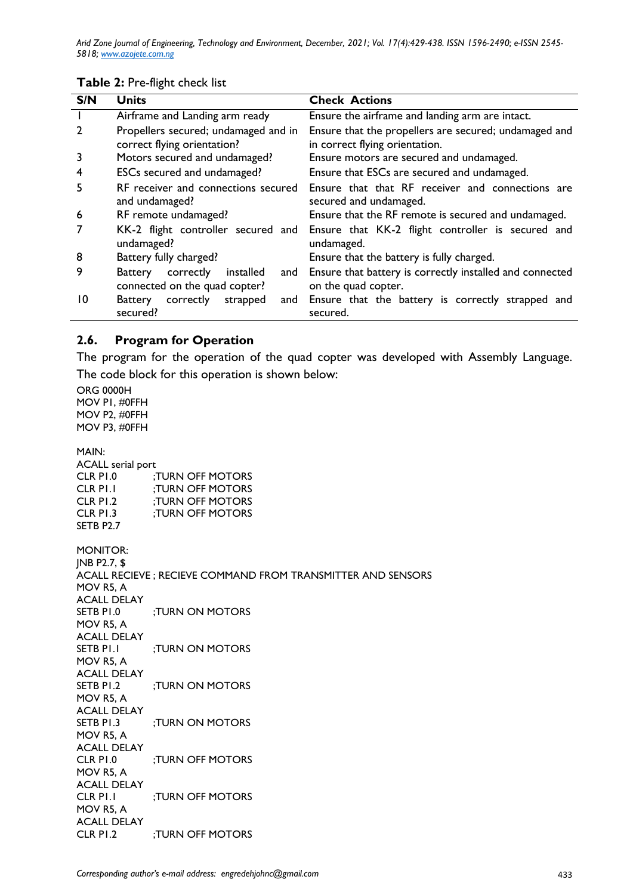| S/N            | <b>Units</b>                                                        | <b>Check Actions</b>                                                                    |
|----------------|---------------------------------------------------------------------|-----------------------------------------------------------------------------------------|
|                | Airframe and Landing arm ready                                      | Ensure the airframe and landing arm are intact.                                         |
| $\overline{2}$ | Propellers secured; undamaged and in<br>correct flying orientation? | Ensure that the propellers are secured; undamaged and<br>in correct flying orientation. |
| 3              | Motors secured and undamaged?                                       | Ensure motors are secured and undamaged.                                                |
| 4              | ESCs secured and undamaged?                                         | Ensure that ESCs are secured and undamaged.                                             |
| 5              | RF receiver and connections secured<br>and undamaged?               | Ensure that that RF receiver and connections are<br>secured and undamaged.              |
| 6              | RF remote undamaged?                                                | Ensure that the RF remote is secured and undamaged.                                     |
|                | KK-2 flight controller secured and<br>undamaged?                    | Ensure that KK-2 flight controller is secured and<br>undamaged.                         |
| 8              | Battery fully charged?                                              | Ensure that the battery is fully charged.                                               |
| 9              | Battery correctly<br>installed<br>and                               | Ensure that battery is correctly installed and connected                                |
|                | connected on the quad copter?                                       | on the quad copter.                                                                     |
| 10             | Battery correctly<br>strapped<br>and<br>secured?                    | Ensure that the battery is correctly strapped and<br>secured.                           |

#### **Table 2:** Pre-flight check list

#### **2.6. Program for Operation**

The program for the operation of the quad copter was developed with Assembly Language. The code block for this operation is shown below:

ORG 0000H MOV P1, #0FFH MOV P2, #0FFH MOV P3, #0FFH MAIN: ACALL serial port CLR P1.0 ;TURN OFF MOTORS CLR PI.I :TURN OFF MOTORS CLR PI.2 ; TURN OFF MOTORS<br>CLR PI.3 : TURN OFF MOTORS ;TURN OFF MOTORS SETB P2.7 MONITOR: JNB P2.7, \$ ACALL RECIEVE ; RECIEVE COMMAND FROM TRANSMITTER AND SENSORS MOV R5, A ACALL DELAY SETB PI.0 ;TURN ON MOTORS MOV R5, A ACALL DELAY SETB PI.I ;TURN ON MOTORS MOV R5, A ACALL DELAY SETB PI.2 :TURN ON MOTORS MOV R5, A ACALL DELAY SETB PI.3 ;TURN ON MOTORS MOV R5, A ACALL DELAY CLR P1.0 ;TURN OFF MOTORS MOV R5, A ACALL DELAY CLR PI.I ;TURN OFF MOTORS MOV R5, A ACALL DELAY CLR P1.2 ;TURN OFF MOTORS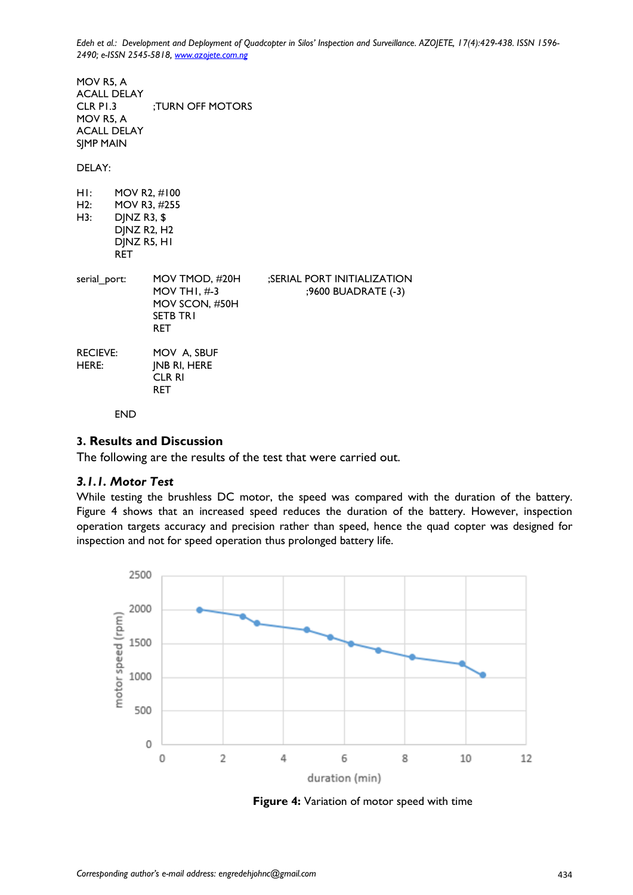| MOV R <sub>5</sub> , A<br><b>ACALL DELAY</b><br>CLR PI.3<br>MOV R5, A<br><b>ACALL DELAY</b><br>SIMP MAIN<br>DELAY: | TURN OFF MOTORS                                                                             |                                                    |
|--------------------------------------------------------------------------------------------------------------------|---------------------------------------------------------------------------------------------|----------------------------------------------------|
|                                                                                                                    |                                                                                             |                                                    |
| HI:<br>H2:<br>H3:<br><b>RET</b>                                                                                    | MOV R <sub>2</sub> , $\#100$<br>MOV R3, #255<br>$DJNZ$ R3, \$<br>DJNZ R2, H2<br>DJNZ R5, HI |                                                    |
| serial_port:                                                                                                       | MOV TMOD, #20H<br>MOV THI, $#3$<br>MOV SCON, #50H<br><b>SETB TRI</b><br><b>RET</b>          | SERIAL PORT INITIALIZATION:<br>;9600 BUADRATE (-3) |
| <b>RECIEVE:</b><br><b>HERE:</b>                                                                                    | MOV A, SBUF<br><b>JNB RI, HERE</b><br><b>CLR RI</b><br>RET                                  |                                                    |
|                                                                                                                    |                                                                                             |                                                    |

END

#### **3. Results and Discussion**

The following are the results of the test that were carried out.

#### *3.1.1. Motor Test*

While testing the brushless DC motor, the speed was compared with the duration of the battery. Figure 4 shows that an increased speed reduces the duration of the battery. However, inspection operation targets accuracy and precision rather than speed, hence the quad copter was designed for inspection and not for speed operation thus prolonged battery life.



**Figure 4:** Variation of motor speed with time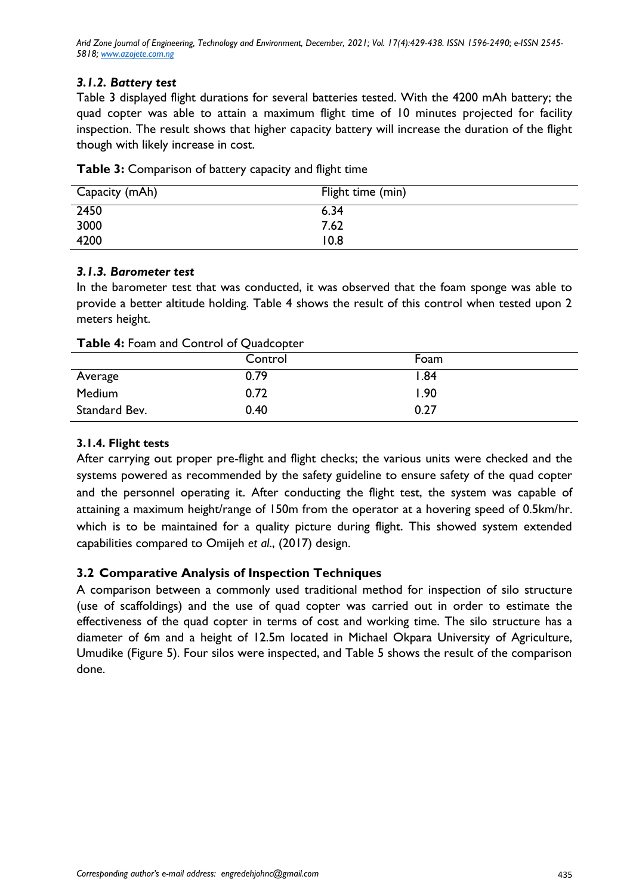## *3.1.2. Battery test*

Table 3 displayed flight durations for several batteries tested. With the 4200 mAh battery; the quad copter was able to attain a maximum flight time of 10 minutes projected for facility inspection. The result shows that higher capacity battery will increase the duration of the flight though with likely increase in cost.

| Capacity (mAh) | Flight time (min) |
|----------------|-------------------|
| 2450           | 6.34              |
| 3000           | 7.62              |
| 4200           | 10.8              |

**Table 3:** Comparison of battery capacity and flight time

### *3.1.3. Barometer test*

In the barometer test that was conducted, it was observed that the foam sponge was able to provide a better altitude holding. Table 4 shows the result of this control when tested upon 2 meters height.

|               | Control | Foam |
|---------------|---------|------|
| Average       | 0.79    | .84  |
| Medium        | 0.72    | 90.۱ |
| Standard Bev. | 0.40    | 0.27 |

|  | Table 4: Foam and Control of Quadcopter |  |  |  |
|--|-----------------------------------------|--|--|--|
|--|-----------------------------------------|--|--|--|

### **3.1.4. Flight tests**

After carrying out proper pre-flight and flight checks; the various units were checked and the systems powered as recommended by the safety guideline to ensure safety of the quad copter and the personnel operating it. After conducting the flight test, the system was capable of attaining a maximum height/range of 150m from the operator at a hovering speed of 0.5km/hr. which is to be maintained for a quality picture during flight. This showed system extended capabilities compared to Omijeh *et al*., (2017) design.

## **3.2 Comparative Analysis of Inspection Techniques**

A comparison between a commonly used traditional method for inspection of silo structure (use of scaffoldings) and the use of quad copter was carried out in order to estimate the effectiveness of the quad copter in terms of cost and working time. The silo structure has a diameter of 6m and a height of 12.5m located in Michael Okpara University of Agriculture, Umudike (Figure 5). Four silos were inspected, and Table 5 shows the result of the comparison done.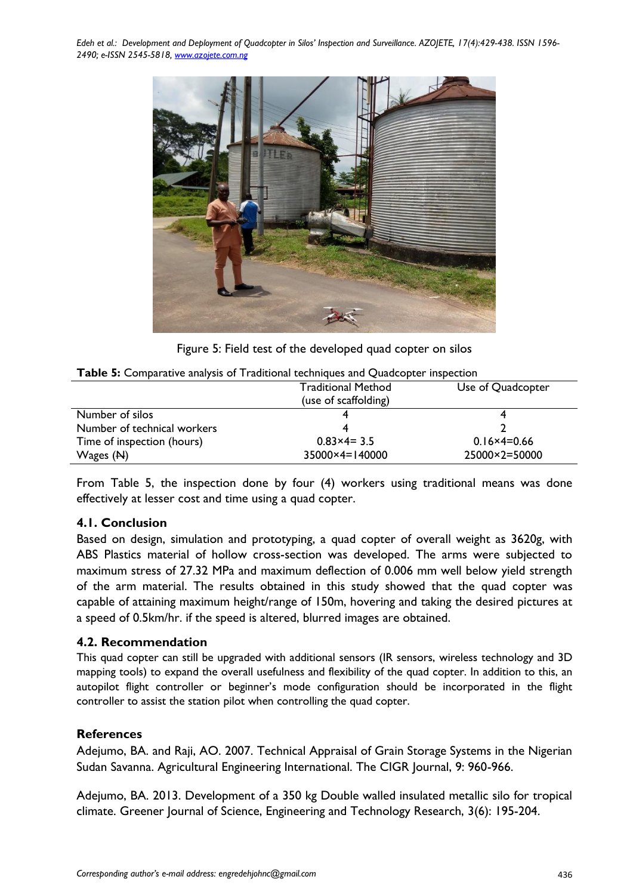

Figure 5: Field test of the developed quad copter on silos

| <b>Table 5:</b> Comparative analysis of Traditional techniques and Quadcopter inspection |                                         |                        |  |  |
|------------------------------------------------------------------------------------------|-----------------------------------------|------------------------|--|--|
|                                                                                          | Traditional Method<br>Use of Quadcopter |                        |  |  |
|                                                                                          | (use of scaffolding)                    |                        |  |  |
| Number of silos                                                                          |                                         |                        |  |  |
| Number of technical workers                                                              |                                         |                        |  |  |
| Time of inspection (hours)                                                               | $0.83 \times 4 = 3.5$                   | $0.16 \times 4 = 0.66$ |  |  |
| Wages $(M)$                                                                              | $35000 \times 4 = 140000$               | 25000×2=50000          |  |  |

From Table 5, the inspection done by four (4) workers using traditional means was done effectively at lesser cost and time using a quad copter.

### **4.1. Conclusion**

Based on design, simulation and prototyping, a quad copter of overall weight as 3620g, with ABS Plastics material of hollow cross-section was developed. The arms were subjected to maximum stress of 27.32 MPa and maximum deflection of 0.006 mm well below yield strength of the arm material. The results obtained in this study showed that the quad copter was capable of attaining maximum height/range of 150m, hovering and taking the desired pictures at a speed of 0.5km/hr. if the speed is altered, blurred images are obtained.

### **4.2. Recommendation**

This quad copter can still be upgraded with additional sensors (IR sensors, wireless technology and 3D mapping tools) to expand the overall usefulness and flexibility of the quad copter. In addition to this, an autopilot flight controller or beginner's mode configuration should be incorporated in the flight controller to assist the station pilot when controlling the quad copter.

### **References**

Adejumo, BA. and Raji, AO. 2007. Technical Appraisal of Grain Storage Systems in the Nigerian Sudan Savanna. Agricultural Engineering International. The CIGR Journal, 9: 960-966.

Adejumo, BA. 2013. Development of a 350 kg Double walled insulated metallic silo for tropical climate. Greener Journal of Science, Engineering and Technology Research, 3(6): 195-204.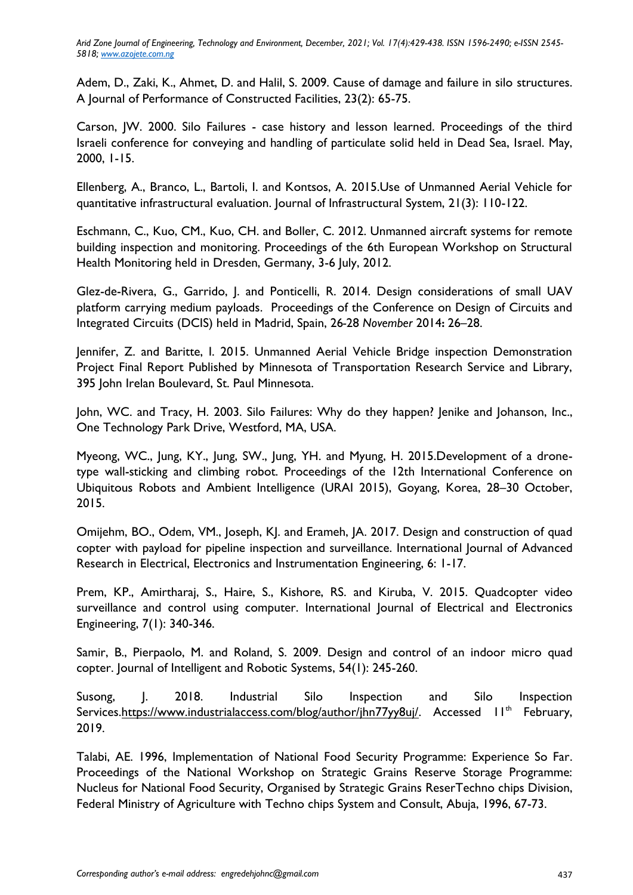Adem, D., Zaki, K., Ahmet, D. and Halil, S. 2009. Cause of damage and failure in silo structures. A Journal of Performance of Constructed Facilities, 23(2): 65-75.

Carson, JW. 2000. Silo Failures - case history and lesson learned. Proceedings of the third Israeli conference for conveying and handling of particulate solid held in Dead Sea, Israel. May, 2000, 1-15.

Ellenberg, A., Branco, L., Bartoli, I. and Kontsos, A. 2015.Use of Unmanned Aerial Vehicle for quantitative infrastructural evaluation. Journal of Infrastructural System, 21(3): 110-122.

Eschmann, C., Kuo, CM., Kuo, CH. and Boller, C. 2012. Unmanned aircraft systems for remote building inspection and monitoring. Proceedings of the 6th European Workshop on Structural Health Monitoring held in Dresden, Germany, 3-6 July, 2012.

Glez-de-Rivera, G., Garrido, J. and Ponticelli, R. 2014. Design considerations of small UAV platform carrying medium payloads. Proceedings of the Conference on Design of Circuits and Integrated Circuits (DCIS) held in Madrid, Spain, 26*-*28 *November* 2014**:** 26–28.

Jennifer, Z. and Baritte, I. 2015. Unmanned Aerial Vehicle Bridge inspection Demonstration Project Final Report Published by Minnesota of Transportation Research Service and Library, 395 John Irelan Boulevard, St. Paul Minnesota.

John, WC. and Tracy, H. 2003. Silo Failures: Why do they happen? Jenike and Johanson, Inc., One Technology Park Drive, Westford, MA, USA.

Myeong, WC., Jung, KY., Jung, SW., Jung, YH. and Myung, H. 2015.Development of a dronetype wall-sticking and climbing robot. Proceedings of the 12th International Conference on Ubiquitous Robots and Ambient Intelligence (URAI 2015), Goyang, Korea, 28–30 October, 2015.

Omijehm, BO., Odem, VM., Joseph, KJ. and Erameh, JA. 2017. Design and construction of quad copter with payload for pipeline inspection and surveillance. International Journal of Advanced Research in Electrical, Electronics and Instrumentation Engineering, 6: 1-17.

Prem, KP., Amirtharaj, S., Haire, S., Kishore, RS. and Kiruba, V. 2015. Quadcopter video surveillance and control using computer. International Journal of Electrical and Electronics Engineering, 7(1): 340-346.

Samir, B., Pierpaolo, M. and Roland, S. 2009. Design and control of an indoor micro quad copter. Journal of Intelligent and Robotic Systems, 54(1): 245-260.

Susong, J. 2018. Industrial Silo Inspection and Silo Inspection [Services.](https://www.industrialaccess.com/industrial-silo-inspection-silo-inspection-services/)[https://www.industrialaccess.com/blog/author/jhn77yy8uj/.](https://www.industrialaccess.com/blog/author/jhn77yy8uj/) Accessed II<sup>th</sup> February, 2019.

Talabi, AE. 1996, Implementation of National Food Security Programme: Experience So Far. Proceedings of the National Workshop on Strategic Grains Reserve Storage Programme: Nucleus for National Food Security, Organised by Strategic Grains ReserTechno chips Division, Federal Ministry of Agriculture with Techno chips System and Consult, Abuja, 1996, 67-73.